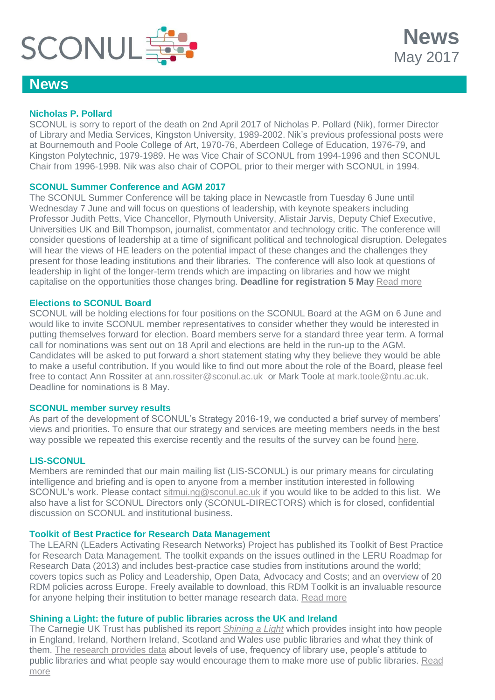

## **News**

#### **Nicholas P. Pollard**

SCONUL is sorry to report of the death on 2nd April 2017 of Nicholas P. Pollard (Nik), former Director of Library and Media Services, Kingston University, 1989-2002. Nik's previous professional posts were at Bournemouth and Poole College of Art, 1970-76, Aberdeen College of Education, 1976-79, and Kingston Polytechnic, 1979-1989. He was Vice Chair of SCONUL from 1994-1996 and then SCONUL Chair from 1996-1998. Nik was also chair of COPOL prior to their merger with SCONUL in 1994.

**News**

May 2017

#### **SCONUL Summer Conference and AGM 2017**

The SCONUL Summer Conference will be taking place in Newcastle from Tuesday 6 June until Wednesday 7 June and will focus on questions of leadership, with keynote speakers including Professor Judith Petts, Vice Chancellor, Plymouth University, Alistair Jarvis, Deputy Chief Executive, Universities UK and Bill Thompson, journalist, commentator and technology critic. The conference will consider questions of leadership at a time of significant political and technological disruption. Delegates will hear the views of HE leaders on the potential impact of these changes and the challenges they present for those leading institutions and their libraries. The conference will also look at questions of leadership in light of the longer-term trends which are impacting on libraries and how we might capitalise on the opportunities those changes bring. **Deadline for registration 5 May** [Read more](http://www.sconul.ac.uk/event/sconul-summer-conference-and-agm-2017)

#### **Elections to SCONUL Board**

SCONUL will be holding elections for four positions on the SCONUL Board at the AGM on 6 June and would like to invite SCONUL member representatives to consider whether they would be interested in putting themselves forward for election. Board members serve for a standard three year term. A formal call for nominations was sent out on 18 April and elections are held in the run-up to the AGM. Candidates will be asked to put forward a short statement stating why they believe they would be able to make a useful contribution. If you would like to find out more about the role of the Board, please feel free to contact Ann Rossiter at [ann.rossiter@sconul.ac.uk](mailto:ann.rossiter@sconul.ac.uk) or Mark Toole at [mark.toole@ntu.ac.uk.](mailto:mark.toole@ntu.ac.uk) Deadline for nominations is 8 May.

#### **SCONUL member survey results**

As part of the development of SCONUL's Strategy 2016-19, we conducted a brief survey of members' views and priorities. To ensure that our strategy and services are meeting members needs in the best way possible we repeated this exercise recently and the results of the survey can be found [here.](https://www.sconul.ac.uk/sites/default/files/SCONUL%20Member%20Survey%20results%20summary.pdf)

#### **LIS-SCONUL**

Members are reminded that our main mailing list (LIS-SCONUL) is our primary means for circulating intelligence and briefing and is open to anyone from a member institution interested in following SCONUL's work. Please contact [sitmui.ng@sconul.ac.uk](mailto:sitmui.ng@sconul.ac.uk) if you would like to be added to this list. We also have a list for SCONUL Directors only (SCONUL-DIRECTORS) which is for closed, confidential discussion on SCONUL and institutional business.

#### **Toolkit of Best Practice for Research Data Management**

The LEARN (LEaders Activating Research Networks) Project has published its Toolkit of Best Practice for Research Data Management. The toolkit expands on the issues outlined in the LERU Roadmap for Research Data (2013) and includes best-practice case studies from institutions around the world; covers topics such as Policy and Leadership, Open Data, Advocacy and Costs; and an overview of 20 RDM policies across Europe. Freely available to download, this RDM Toolkit is an invaluable resource for anyone helping their institution to better manage research data. [Read more](http://learn-rdm.eu/wp-content/uploads/RDMToolkit.pdf?pdf=RDMToolkit)

#### **Shining a Light: the future of public libraries across the UK and Ireland**

The Carnegie UK Trust has published its report *[Shining a Light](http://bit.ly/shining-a-light)* which provides insight into how people in England, Ireland, Northern Ireland, Scotland and Wales use public libraries and what they think of them. [The research provides data](http://bit.ly/shining-a-light) about levels of use, frequency of library use, people's attitude to public libraries and what people say would encourage them to make more use of public libraries. [Read](http://www.carnegieuktrust.org.uk/project/future-of-public-libraries/)  [more](http://www.carnegieuktrust.org.uk/project/future-of-public-libraries/)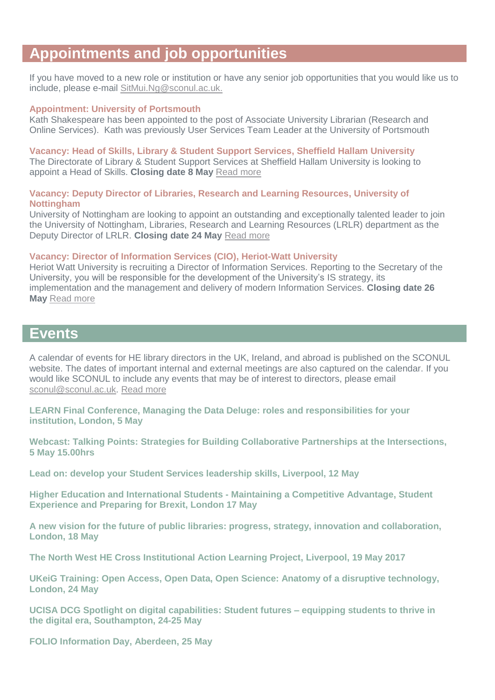# **Appointments and job opportunities**

If you have moved to a new role or institution or have any senior job opportunities that you would like us to include, please e-mail [SitMui.Ng@sconul.ac.uk.](mailto:SitMui.Ng@sconul.ac.uk)

#### **Appointment: University of Portsmouth**

Kath Shakespeare has been appointed to the post of Associate University Librarian (Research and Online Services). Kath was previously User Services Team Leader at the University of Portsmouth

#### **Vacancy: Head of Skills, Library & Student Support Services, Sheffield Hallam University**

The Directorate of Library & Student Support Services at Sheffield Hallam University is looking to appoint a Head of Skills. **Closing date 8 May** [Read more](https://peopleportal.shu.ac.uk/pls/shlive18recruit/erq_jobspec_version_4.display_form)

#### **Vacancy: Deputy Director of Libraries, Research and Learning Resources, University of Nottingham**

University of Nottingham are looking to appoint an outstanding and exceptionally talented leader to join the University of Nottingham, Libraries, Research and Learning Resources (LRLR) department as the Deputy Director of LRLR. **Closing date 24 May** [Read more](https://www.nottingham.ac.uk/jobs/currentvacancies/ref/LD126217)

#### **Vacancy: Director of Information Services (CIO), Heriot-Watt University**

Heriot Watt University is recruiting a Director of Information Services. Reporting to the Secretary of the University, you will be responsible for the development of the University's IS strategy, its implementation and the management and delivery of modern Information Services. **Closing date 26 May** [Read more](http://www.dixonwalter.co.uk/vacancies/heriotwatt)

### **Events**

A calendar of events for HE library directors in the UK, Ireland, and abroad is published on the SCONUL website. The dates of important internal and external meetings are also captured on the calendar. If you would like SCONUL to include any events that may be of interest to directors, please email [sconul@sconul.ac.uk.](mailto:sconul@sconul.ac.uk) [Read more](http://www.sconul.ac.uk/page/events-calendar-0)

**[LEARN Final Conference, Managing the Data Deluge: roles and responsibilities for your](http://learn-rdm.eu/en/about/)  [institution, London, 5 May](http://learn-rdm.eu/en/about/)**

**[Webcast: Talking Points: Strategies for Building Collaborative Partnerships at the Intersections,](https://www.eventbrite.co.uk/e/intersections-of-scholarly-communication-and-information-literacy-tickets-31316034101?aff=eac2)  [5 May 15.00hrs](https://www.eventbrite.co.uk/e/intersections-of-scholarly-communication-and-information-literacy-tickets-31316034101?aff=eac2)**

**[Lead on: develop your Student Services leadership skills, Liverpool, 12 May](http://www.amosshe.org.uk/event-2473199)**

**Higher Education and International Students - [Maintaining a Competitive Advantage, Student](http://www.policy-uk.com/event/2537/?g=437608)  [Experience and Preparing for Brexit, London 17 May](http://www.policy-uk.com/event/2537/?g=437608)**

**[A new vision for the future of public libraries: progress, strategy, innovation and collaboration,](http://www.publicpolicyexchange.co.uk/events/HE18-PPE?ss=em&tg=1a)  [London, 18 May](http://www.publicpolicyexchange.co.uk/events/HE18-PPE?ss=em&tg=1a)**

**[The North West HE Cross Institutional Action Learning Project, Liverpool, 19 May 2017](http://actionlearn.weebly.com/)**

**[UKeiG Training: Open Access, Open Data, Open Science: Anatomy of a disruptive technology,](https://www.cilip.org.uk/uk-einformation-group/events/ukeig-training-open-access-open-data-open-science-anatomy-disruptive-technology-0)  [London, 24 May](https://www.cilip.org.uk/uk-einformation-group/events/ukeig-training-open-access-open-data-open-science-anatomy-disruptive-technology-0)**

**[UCISA DCG Spotlight on digital capabilities: Student futures –](https://www.ucisa.ac.uk/groups/dcg/Events/2017/digcaps3) equipping students to thrive in the digital era, [Southampton, 24-25 May](https://www.ucisa.ac.uk/groups/dcg/Events/2017/digcaps3)**

**[FOLIO Information Day, Aberdeen, 25 May](https://www.eventbrite.com/e/folio-information-day-may-25-tickets-32659355010)**